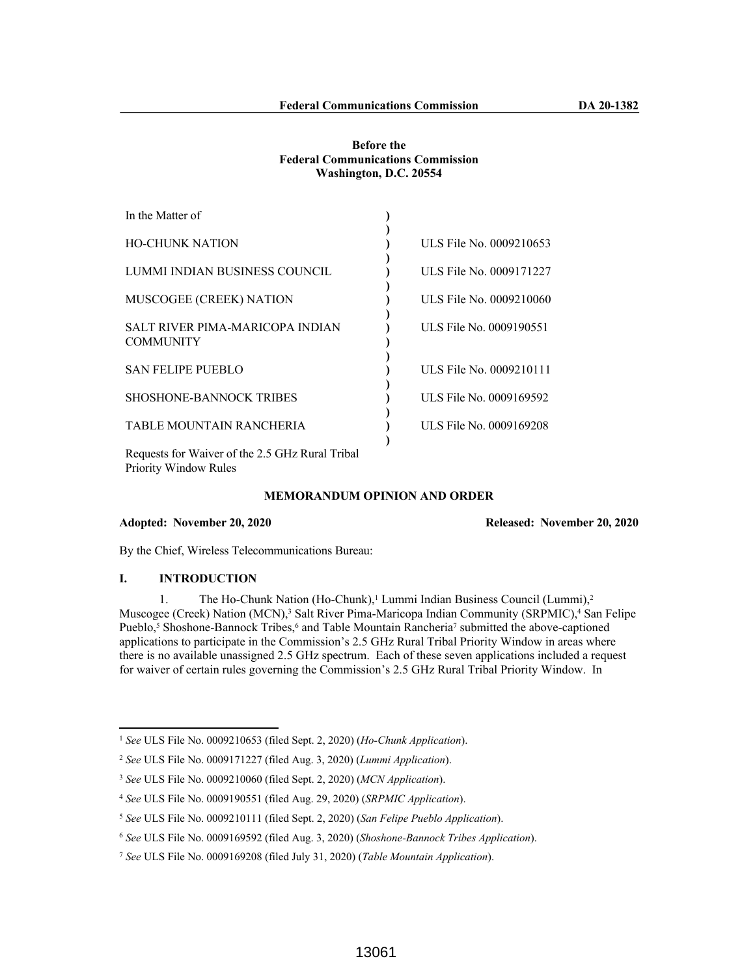### **Before the Federal Communications Commission Washington, D.C. 20554**

| In the Matter of                                    |                         |
|-----------------------------------------------------|-------------------------|
| <b>HO-CHUNK NATION</b>                              | ULS File No. 0009210653 |
| LUMMI INDIAN BUSINESS COUNCIL                       | ULS File No. 0009171227 |
| MUSCOGEE (CREEK) NATION                             | ULS File No. 0009210060 |
| SALT RIVER PIMA-MARICOPA INDIAN<br><b>COMMUNITY</b> | ULS File No. 0009190551 |
| <b>SAN FELIPE PUEBLO</b>                            | ULS File No. 0009210111 |
| <b>SHOSHONE-BANNOCK TRIBES</b>                      | ULS File No. 0009169592 |
| TABLE MOUNTAIN RANCHERIA                            | ULS File No. 0009169208 |
|                                                     |                         |

Requests for Waiver of the 2.5 GHz Rural Tribal Priority Window Rules

## **MEMORANDUM OPINION AND ORDER**

#### **Adopted: November 20, 2020 Released: November 20, 2020**

By the Chief, Wireless Telecommunications Bureau:

### **I. INTRODUCTION**

1. The Ho-Chunk Nation (Ho-Chunk),<sup>1</sup> Lummi Indian Business Council (Lummi),<sup>2</sup> Muscogee (Creek) Nation (MCN),<sup>3</sup> Salt River Pima-Maricopa Indian Community (SRPMIC),<sup>4</sup> San Felipe Pueblo,<sup>5</sup> Shoshone-Bannock Tribes,<sup>6</sup> and Table Mountain Rancheria<sup>7</sup> submitted the above-captioned applications to participate in the Commission's 2.5 GHz Rural Tribal Priority Window in areas where there is no available unassigned 2.5 GHz spectrum. Each of these seven applications included a request for waiver of certain rules governing the Commission's 2.5 GHz Rural Tribal Priority Window. In

<sup>1</sup> *See* ULS File No. 0009210653 (filed Sept. 2, 2020) (*Ho-Chunk Application*).

<sup>2</sup> *See* ULS File No. 0009171227 (filed Aug. 3, 2020) (*Lummi Application*).

<sup>3</sup> *See* ULS File No. 0009210060 (filed Sept. 2, 2020) (*MCN Application*).

<sup>4</sup> *See* ULS File No. 0009190551 (filed Aug. 29, 2020) (*SRPMIC Application*).

<sup>5</sup> *See* ULS File No. 0009210111 (filed Sept. 2, 2020) (*San Felipe Pueblo Application*).

<sup>6</sup> *See* ULS File No. 0009169592 (filed Aug. 3, 2020) (*Shoshone-Bannock Tribes Application*).

<sup>7</sup> *See* ULS File No. 0009169208 (filed July 31, 2020) (*Table Mountain Application*).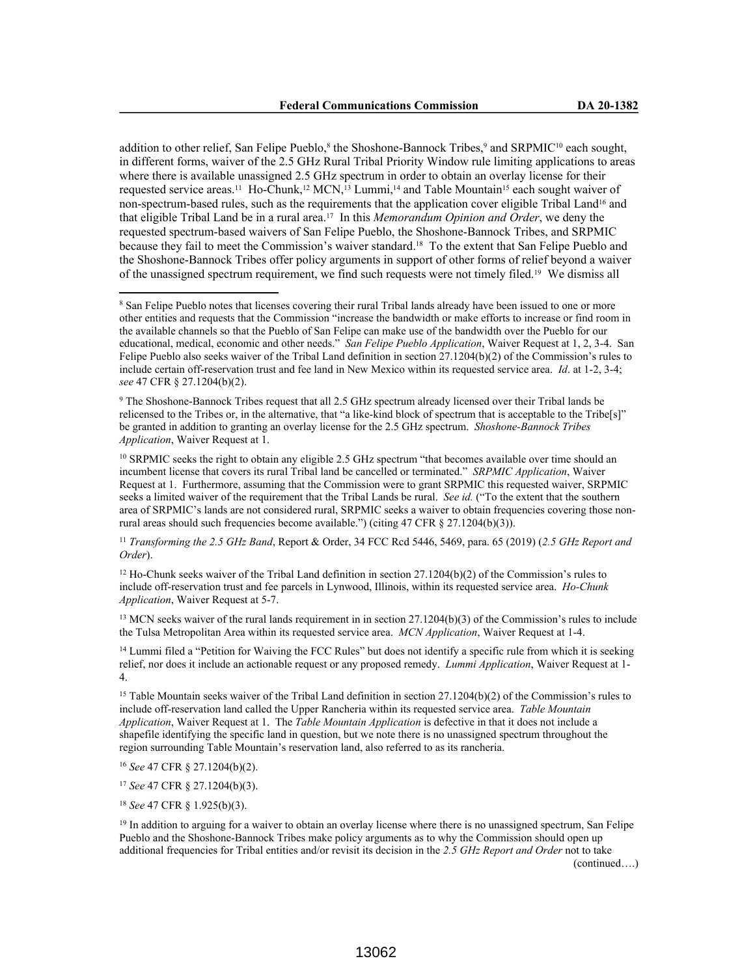addition to other relief, San Felipe Pueblo,<sup>8</sup> the Shoshone-Bannock Tribes,<sup>9</sup> and SRPMIC<sup>10</sup> each sought, in different forms, waiver of the 2.5 GHz Rural Tribal Priority Window rule limiting applications to areas where there is available unassigned 2.5 GHz spectrum in order to obtain an overlay license for their requested service areas.<sup>11</sup> Ho-Chunk,<sup>12</sup> MCN,<sup>13</sup> Lummi,<sup>14</sup> and Table Mountain<sup>15</sup> each sought waiver of non-spectrum-based rules, such as the requirements that the application cover eligible Tribal Land16 and that eligible Tribal Land be in a rural area.17 In this *Memorandum Opinion and Order*, we deny the requested spectrum-based waivers of San Felipe Pueblo, the Shoshone-Bannock Tribes, and SRPMIC because they fail to meet the Commission's waiver standard.18 To the extent that San Felipe Pueblo and the Shoshone-Bannock Tribes offer policy arguments in support of other forms of relief beyond a waiver of the unassigned spectrum requirement, we find such requests were not timely filed.19 We dismiss all

9 The Shoshone-Bannock Tribes request that all 2.5 GHz spectrum already licensed over their Tribal lands be relicensed to the Tribes or, in the alternative, that "a like-kind block of spectrum that is acceptable to the Tribe[s]" be granted in addition to granting an overlay license for the 2.5 GHz spectrum. *Shoshone-Bannock Tribes Application*, Waiver Request at 1.

<sup>10</sup> SRPMIC seeks the right to obtain any eligible 2.5 GHz spectrum "that becomes available over time should an incumbent license that covers its rural Tribal land be cancelled or terminated." *SRPMIC Application*, Waiver Request at 1. Furthermore, assuming that the Commission were to grant SRPMIC this requested waiver, SRPMIC seeks a limited waiver of the requirement that the Tribal Lands be rural. *See id.* ("To the extent that the southern area of SRPMIC's lands are not considered rural, SRPMIC seeks a waiver to obtain frequencies covering those nonrural areas should such frequencies become available.") (citing 47 CFR  $\S 27.1204(b)(3)$ ).

<sup>11</sup> *Transforming the 2.5 GHz Band*, Report & Order, 34 FCC Rcd 5446, 5469, para. 65 (2019) (*2.5 GHz Report and Order*).

 $12$  Ho-Chunk seeks waiver of the Tribal Land definition in section 27.1204(b)(2) of the Commission's rules to include off-reservation trust and fee parcels in Lynwood, Illinois, within its requested service area. *Ho-Chunk Application*, Waiver Request at 5-7.

<sup>13</sup> MCN seeks waiver of the rural lands requirement in in section 27.1204(b)(3) of the Commission's rules to include the Tulsa Metropolitan Area within its requested service area. *MCN Application*, Waiver Request at 1-4.

<sup>14</sup> Lummi filed a "Petition for Waiving the FCC Rules" but does not identify a specific rule from which it is seeking relief, nor does it include an actionable request or any proposed remedy. *Lummi Application*, Waiver Request at 1- 4.

<sup>15</sup> Table Mountain seeks waiver of the Tribal Land definition in section 27.1204(b)(2) of the Commission's rules to include off-reservation land called the Upper Rancheria within its requested service area. *Table Mountain Application*, Waiver Request at 1. The *Table Mountain Application* is defective in that it does not include a shapefile identifying the specific land in question, but we note there is no unassigned spectrum throughout the region surrounding Table Mountain's reservation land, also referred to as its rancheria.

<sup>16</sup> *See* 47 CFR § 27.1204(b)(2).

<sup>17</sup> *See* 47 CFR § 27.1204(b)(3).

<sup>18</sup> *See* 47 CFR § 1.925(b)(3).

<sup>19</sup> In addition to arguing for a waiver to obtain an overlay license where there is no unassigned spectrum, San Felipe Pueblo and the Shoshone-Bannock Tribes make policy arguments as to why the Commission should open up additional frequencies for Tribal entities and/or revisit its decision in the *2.5 GHz Report and Order* not to take

(continued….)

<sup>&</sup>lt;sup>8</sup> San Felipe Pueblo notes that licenses covering their rural Tribal lands already have been issued to one or more other entities and requests that the Commission "increase the bandwidth or make efforts to increase or find room in the available channels so that the Pueblo of San Felipe can make use of the bandwidth over the Pueblo for our educational, medical, economic and other needs." *San Felipe Pueblo Application*, Waiver Request at 1, 2, 3-4. San Felipe Pueblo also seeks waiver of the Tribal Land definition in section 27.1204(b)(2) of the Commission's rules to include certain off-reservation trust and fee land in New Mexico within its requested service area. *Id*. at 1-2, 3-4; *see* 47 CFR § 27.1204(b)(2).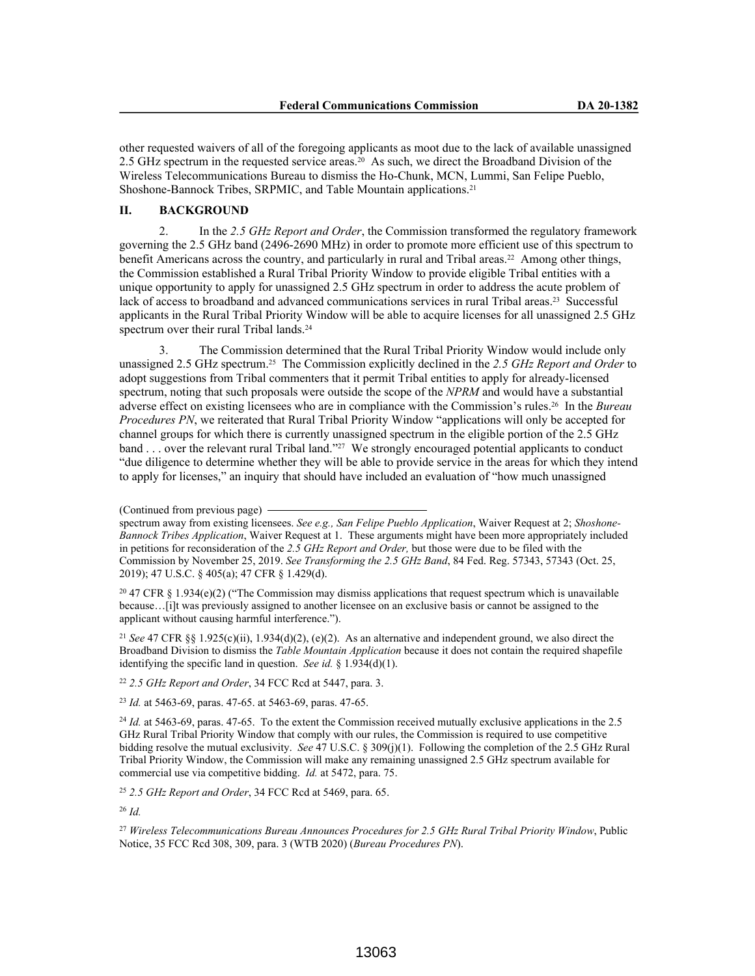other requested waivers of all of the foregoing applicants as moot due to the lack of available unassigned 2.5 GHz spectrum in the requested service areas.20 As such, we direct the Broadband Division of the Wireless Telecommunications Bureau to dismiss the Ho-Chunk, MCN, Lummi, San Felipe Pueblo, Shoshone-Bannock Tribes, SRPMIC, and Table Mountain applications.<sup>21</sup>

# **II. BACKGROUND**

2. In the *2.5 GHz Report and Order*, the Commission transformed the regulatory framework governing the 2.5 GHz band (2496-2690 MHz) in order to promote more efficient use of this spectrum to benefit Americans across the country, and particularly in rural and Tribal areas.22 Among other things, the Commission established a Rural Tribal Priority Window to provide eligible Tribal entities with a unique opportunity to apply for unassigned 2.5 GHz spectrum in order to address the acute problem of lack of access to broadband and advanced communications services in rural Tribal areas.<sup>23</sup> Successful applicants in the Rural Tribal Priority Window will be able to acquire licenses for all unassigned 2.5 GHz spectrum over their rural Tribal lands.<sup>24</sup>

3. The Commission determined that the Rural Tribal Priority Window would include only unassigned 2.5 GHz spectrum.25 The Commission explicitly declined in the *2.5 GHz Report and Order* to adopt suggestions from Tribal commenters that it permit Tribal entities to apply for already-licensed spectrum, noting that such proposals were outside the scope of the *NPRM* and would have a substantial adverse effect on existing licensees who are in compliance with the Commission's rules.26 In the *Bureau Procedures PN*, we reiterated that Rural Tribal Priority Window "applications will only be accepted for channel groups for which there is currently unassigned spectrum in the eligible portion of the 2.5 GHz band . . . over the relevant rural Tribal land."<sup>27</sup> We strongly encouraged potential applicants to conduct "due diligence to determine whether they will be able to provide service in the areas for which they intend to apply for licenses," an inquiry that should have included an evaluation of "how much unassigned

<sup>20</sup> 47 CFR § 1.934(e)(2) ("The Commission may dismiss applications that request spectrum which is unavailable because…[i]t was previously assigned to another licensee on an exclusive basis or cannot be assigned to the applicant without causing harmful interference.").

<sup>21</sup> *See* 47 CFR §§ 1.925(c)(ii), 1.934(d)(2), (e)(2). As an alternative and independent ground, we also direct the Broadband Division to dismiss the *Table Mountain Application* because it does not contain the required shapefile identifying the specific land in question. *See id.* § 1.934(d)(1).

<sup>22</sup> *2.5 GHz Report and Order*, 34 FCC Rcd at 5447, para. 3.

<sup>23</sup> *Id.* at 5463-69, paras. 47-65. at 5463-69, paras. 47-65.

<sup>24</sup> *Id.* at 5463-69, paras. 47-65. To the extent the Commission received mutually exclusive applications in the 2.5 GHz Rural Tribal Priority Window that comply with our rules, the Commission is required to use competitive bidding resolve the mutual exclusivity. *See* 47 U.S.C. § 309(j)(1). Following the completion of the 2.5 GHz Rural Tribal Priority Window, the Commission will make any remaining unassigned 2.5 GHz spectrum available for commercial use via competitive bidding. *Id.* at 5472, para. 75.

<sup>25</sup> *2.5 GHz Report and Order*, 34 FCC Rcd at 5469, para. 65.

<sup>26</sup> *Id.*

<sup>27</sup> *Wireless Telecommunications Bureau Announces Procedures for 2.5 GHz Rural Tribal Priority Window*, Public Notice, 35 FCC Rcd 308, 309, para. 3 (WTB 2020) (*Bureau Procedures PN*).

<sup>(</sup>Continued from previous page)

spectrum away from existing licensees. *See e.g., San Felipe Pueblo Application*, Waiver Request at 2; *Shoshone-Bannock Tribes Application*, Waiver Request at 1. These arguments might have been more appropriately included in petitions for reconsideration of the *2.5 GHz Report and Order,* but those were due to be filed with the Commission by November 25, 2019. *See Transforming the 2.5 GHz Band*, 84 Fed. Reg. 57343, 57343 (Oct. 25, 2019); 47 U.S.C. § 405(a); 47 CFR § 1.429(d).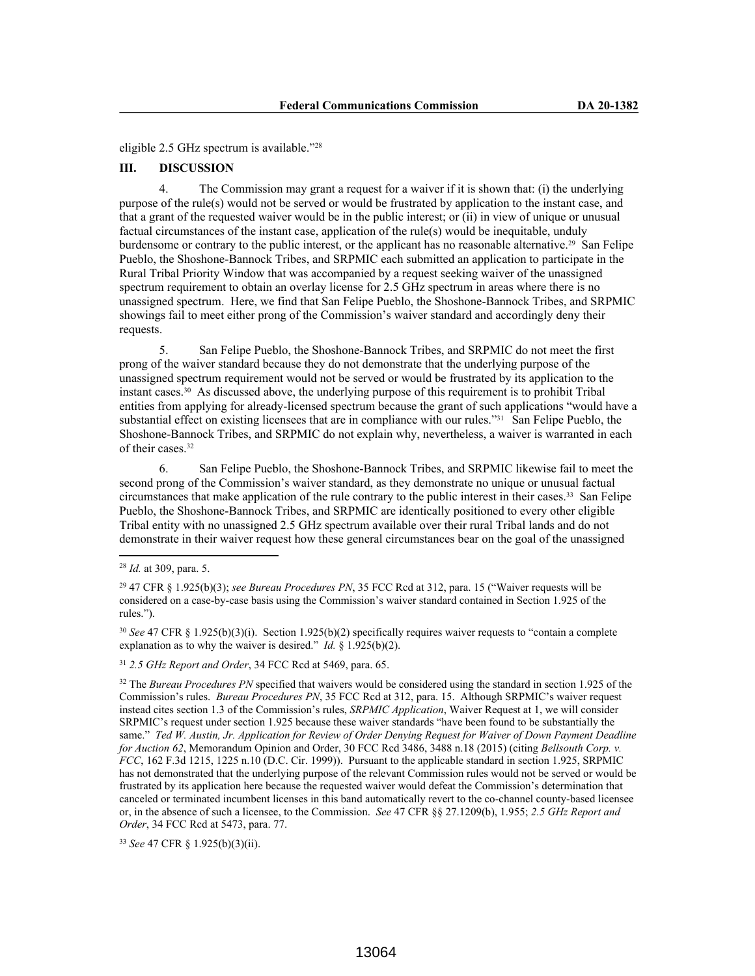eligible 2.5 GHz spectrum is available."<sup>28</sup>

### **III. DISCUSSION**

4. The Commission may grant a request for a waiver if it is shown that: (i) the underlying purpose of the rule(s) would not be served or would be frustrated by application to the instant case, and that a grant of the requested waiver would be in the public interest; or (ii) in view of unique or unusual factual circumstances of the instant case, application of the rule(s) would be inequitable, unduly burdensome or contrary to the public interest, or the applicant has no reasonable alternative.29 San Felipe Pueblo, the Shoshone-Bannock Tribes, and SRPMIC each submitted an application to participate in the Rural Tribal Priority Window that was accompanied by a request seeking waiver of the unassigned spectrum requirement to obtain an overlay license for 2.5 GHz spectrum in areas where there is no unassigned spectrum. Here, we find that San Felipe Pueblo, the Shoshone-Bannock Tribes, and SRPMIC showings fail to meet either prong of the Commission's waiver standard and accordingly deny their requests.

5. San Felipe Pueblo, the Shoshone-Bannock Tribes, and SRPMIC do not meet the first prong of the waiver standard because they do not demonstrate that the underlying purpose of the unassigned spectrum requirement would not be served or would be frustrated by its application to the instant cases.30 As discussed above, the underlying purpose of this requirement is to prohibit Tribal entities from applying for already-licensed spectrum because the grant of such applications "would have a substantial effect on existing licensees that are in compliance with our rules."<sup>31</sup> San Felipe Pueblo, the Shoshone-Bannock Tribes, and SRPMIC do not explain why, nevertheless, a waiver is warranted in each of their cases.<sup>32</sup>

6. San Felipe Pueblo, the Shoshone-Bannock Tribes, and SRPMIC likewise fail to meet the second prong of the Commission's waiver standard, as they demonstrate no unique or unusual factual circumstances that make application of the rule contrary to the public interest in their cases.33 San Felipe Pueblo, the Shoshone-Bannock Tribes, and SRPMIC are identically positioned to every other eligible Tribal entity with no unassigned 2.5 GHz spectrum available over their rural Tribal lands and do not demonstrate in their waiver request how these general circumstances bear on the goal of the unassigned

<sup>30</sup> *See* 47 CFR § 1.925(b)(3)(i). Section 1.925(b)(2) specifically requires waiver requests to "contain a complete explanation as to why the waiver is desired." *Id.* § 1.925(b)(2).

<sup>31</sup> *2.5 GHz Report and Order*, 34 FCC Rcd at 5469, para. 65.

<sup>33</sup> *See* 47 CFR § 1.925(b)(3)(ii).

<sup>28</sup> *Id.* at 309, para. 5.

<sup>29</sup> 47 CFR § 1.925(b)(3); *see Bureau Procedures PN*, 35 FCC Rcd at 312, para. 15 ("Waiver requests will be considered on a case-by-case basis using the Commission's waiver standard contained in Section 1.925 of the rules.").

<sup>&</sup>lt;sup>32</sup> The *Bureau Procedures PN* specified that waivers would be considered using the standard in section 1.925 of the Commission's rules. *Bureau Procedures PN*, 35 FCC Rcd at 312, para. 15. Although SRPMIC's waiver request instead cites section 1.3 of the Commission's rules, *SRPMIC Application*, Waiver Request at 1, we will consider SRPMIC's request under section 1.925 because these waiver standards "have been found to be substantially the same." *Ted W. Austin, Jr. Application for Review of Order Denying Request for Waiver of Down Payment Deadline for Auction 62*, Memorandum Opinion and Order, 30 FCC Rcd 3486, 3488 n.18 (2015) (citing *Bellsouth Corp. v. FCC*, 162 F.3d 1215, 1225 n.10 (D.C. Cir. 1999)). Pursuant to the applicable standard in section 1.925, SRPMIC has not demonstrated that the underlying purpose of the relevant Commission rules would not be served or would be frustrated by its application here because the requested waiver would defeat the Commission's determination that canceled or terminated incumbent licenses in this band automatically revert to the co-channel county-based licensee or, in the absence of such a licensee, to the Commission. *See* 47 CFR §§ 27.1209(b), 1.955; *2.5 GHz Report and Order*, 34 FCC Rcd at 5473, para. 77.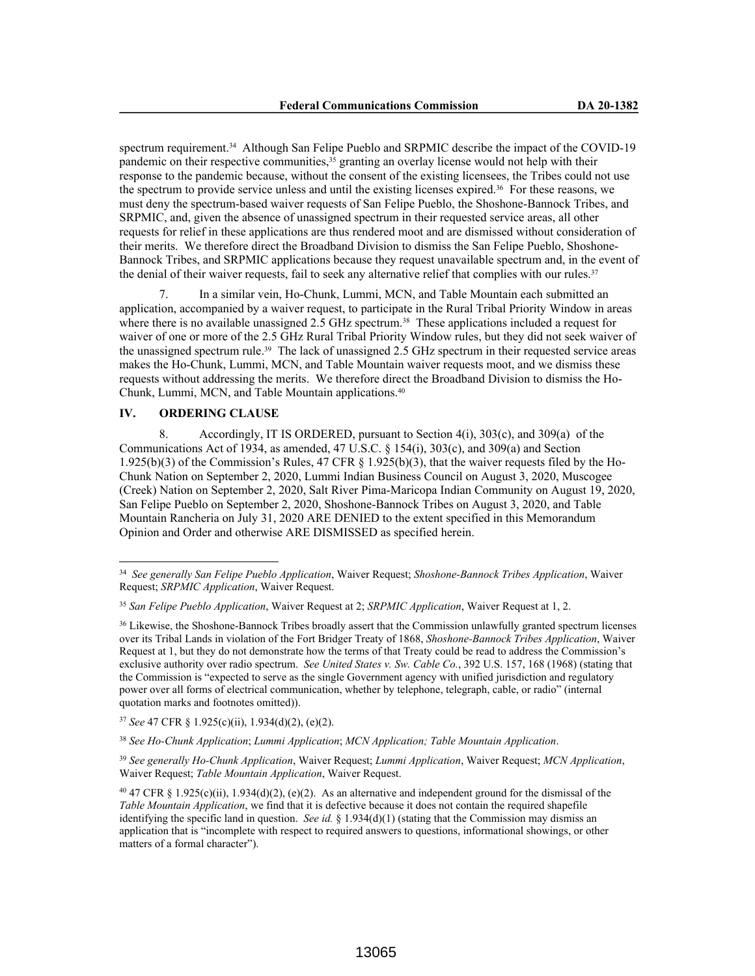spectrum requirement.<sup>34</sup> Although San Felipe Pueblo and SRPMIC describe the impact of the COVID-19 pandemic on their respective communities,35 granting an overlay license would not help with their response to the pandemic because, without the consent of the existing licensees, the Tribes could not use the spectrum to provide service unless and until the existing licenses expired.36 For these reasons, we must deny the spectrum-based waiver requests of San Felipe Pueblo, the Shoshone-Bannock Tribes, and SRPMIC, and, given the absence of unassigned spectrum in their requested service areas, all other requests for relief in these applications are thus rendered moot and are dismissed without consideration of their merits. We therefore direct the Broadband Division to dismiss the San Felipe Pueblo, Shoshone-Bannock Tribes, and SRPMIC applications because they request unavailable spectrum and, in the event of the denial of their waiver requests, fail to seek any alternative relief that complies with our rules.<sup>37</sup>

7. In a similar vein, Ho-Chunk, Lummi, MCN, and Table Mountain each submitted an application, accompanied by a waiver request, to participate in the Rural Tribal Priority Window in areas where there is no available unassigned 2.5 GHz spectrum.<sup>38</sup> These applications included a request for waiver of one or more of the 2.5 GHz Rural Tribal Priority Window rules, but they did not seek waiver of the unassigned spectrum rule.39 The lack of unassigned 2.5 GHz spectrum in their requested service areas makes the Ho-Chunk, Lummi, MCN, and Table Mountain waiver requests moot, and we dismiss these requests without addressing the merits. We therefore direct the Broadband Division to dismiss the Ho-Chunk, Lummi, MCN, and Table Mountain applications.<sup>40</sup>

## **IV. ORDERING CLAUSE**

8. Accordingly, IT IS ORDERED, pursuant to Section 4(i), 303(c), and 309(a) of the Communications Act of 1934, as amended, 47 U.S.C. § 154(i), 303(c), and 309(a) and Section 1.925(b)(3) of the Commission's Rules, 47 CFR § 1.925(b)(3), that the waiver requests filed by the Ho-Chunk Nation on September 2, 2020, Lummi Indian Business Council on August 3, 2020, Muscogee (Creek) Nation on September 2, 2020, Salt River Pima-Maricopa Indian Community on August 19, 2020, San Felipe Pueblo on September 2, 2020, Shoshone-Bannock Tribes on August 3, 2020, and Table Mountain Rancheria on July 31, 2020 ARE DENIED to the extent specified in this Memorandum Opinion and Order and otherwise ARE DISMISSED as specified herein.

<sup>37</sup> *See* 47 CFR § 1.925(c)(ii), 1.934(d)(2), (e)(2).

<sup>38</sup> *See Ho-Chunk Application*; *Lummi Application*; *MCN Application; Table Mountain Application*.

<sup>39</sup> *See generally Ho-Chunk Application*, Waiver Request; *Lummi Application*, Waiver Request; *MCN Application*, Waiver Request; *Table Mountain Application*, Waiver Request.

<sup>40</sup> 47 CFR § 1.925(c)(ii), 1.934(d)(2), (e)(2). As an alternative and independent ground for the dismissal of the *Table Mountain Application*, we find that it is defective because it does not contain the required shapefile identifying the specific land in question. *See id.* § 1.934(d)(1) (stating that the Commission may dismiss an application that is "incomplete with respect to required answers to questions, informational showings, or other matters of a formal character").

<sup>34</sup> *See generally San Felipe Pueblo Application*, Waiver Request; *Shoshone-Bannock Tribes Application*, Waiver Request; *SRPMIC Application*, Waiver Request.

<sup>35</sup> *San Felipe Pueblo Application*, Waiver Request at 2; *SRPMIC Application*, Waiver Request at 1, 2.

<sup>36</sup> Likewise, the Shoshone-Bannock Tribes broadly assert that the Commission unlawfully granted spectrum licenses over its Tribal Lands in violation of the Fort Bridger Treaty of 1868, *Shoshone-Bannock Tribes Application*, Waiver Request at 1, but they do not demonstrate how the terms of that Treaty could be read to address the Commission's exclusive authority over radio spectrum. *See United States v. Sw. Cable Co.*, 392 U.S. 157, 168 (1968) (stating that the Commission is "expected to serve as the single Government agency with unified jurisdiction and regulatory power over all forms of electrical communication, whether by telephone, telegraph, cable, or radio" (internal quotation marks and footnotes omitted)).